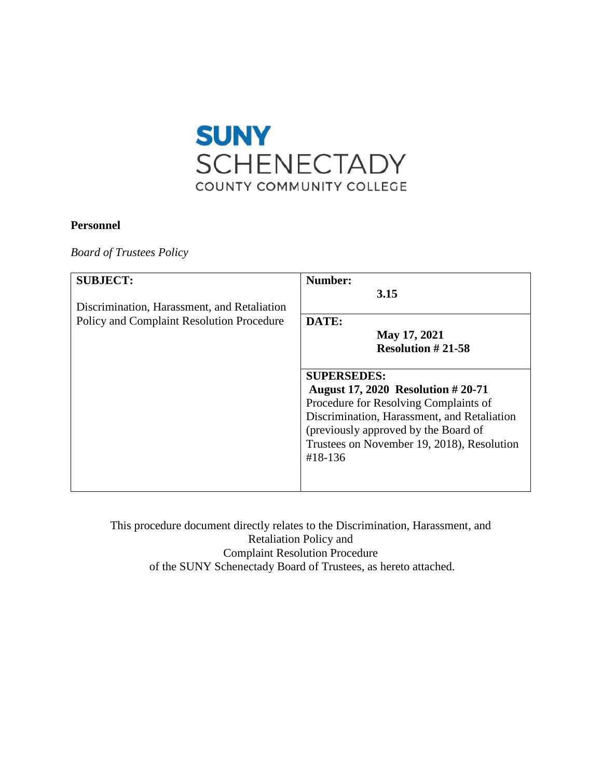

# **Personnel**

*Board of Trustees Policy* 

| <b>SUBJECT:</b><br>Discrimination, Harassment, and Retaliation | Number:<br>3.15                                                                                                                                                                                                                                         |  |
|----------------------------------------------------------------|---------------------------------------------------------------------------------------------------------------------------------------------------------------------------------------------------------------------------------------------------------|--|
| <b>Policy and Complaint Resolution Procedure</b>               | DATE:<br>May 17, 2021<br><b>Resolution #21-58</b>                                                                                                                                                                                                       |  |
|                                                                | <b>SUPERSEDES:</b><br><b>August 17, 2020 Resolution #20-71</b><br>Procedure for Resolving Complaints of<br>Discrimination, Harassment, and Retaliation<br>(previously approved by the Board of<br>Trustees on November 19, 2018), Resolution<br>#18-136 |  |

 Retaliation Policy and This procedure document directly relates to the Discrimination, Harassment, and Complaint Resolution Procedure of the SUNY Schenectady Board of Trustees, as hereto attached.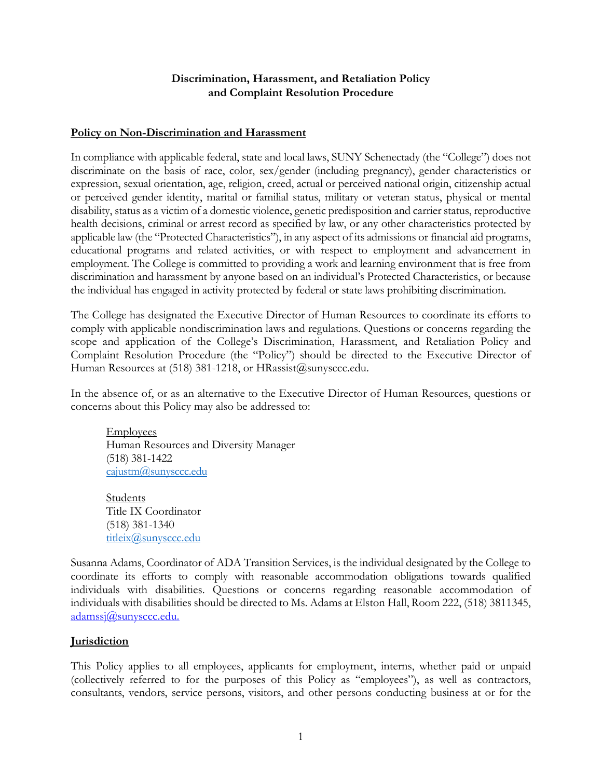# **Discrimination, Harassment, and Retaliation Policy and Complaint Resolution Procedure**

#### **Policy on Non-Discrimination and Harassment**

 discriminate on the basis of race, color, sex/gender (including pregnancy), gender characteristics or expression, sexual orientation, age, religion, creed, actual or perceived national origin, citizenship actual disability, status as a victim of a domestic violence, genetic predisposition and carrier status, reproductive health decisions, criminal or arrest record as specified by law, or any other characteristics protected by employment. The College is committed to providing a work and learning environment that is free from discrimination and harassment by anyone based on an individual's Protected Characteristics, or because the individual has engaged in activity protected by federal or state laws prohibiting discrimination. In compliance with applicable federal, state and local laws, SUNY Schenectady (the "College") does not or perceived gender identity, marital or familial status, military or veteran status, physical or mental applicable law (the "Protected Characteristics"), in any aspect of its admissions or financial aid programs, educational programs and related activities, or with respect to employment and advancement in

 scope and application of the College's Discrimination, Harassment, and Retaliation Policy and The College has designated the Executive Director of Human Resources to coordinate its efforts to comply with applicable nondiscrimination laws and regulations. Questions or concerns regarding the Complaint Resolution Procedure (the "Policy") should be directed to the Executive Director of Human Resources at (518) 381-1218, or HRassist@sunysccc.edu.

In the absence of, or as an alternative to the Executive Director of Human Resources, questions or concerns about this Policy may also be addressed to:

**Employees** Human Resources and Diversity Manager (518) 381-1422 [cajustm@sunysccc.edu](mailto:cajustm@sunysccc.edu) 

Students Title IX Coordinator (518) 381-1340 titleix@sunysccc.edu

 Susanna Adams, Coordinator of ADA Transition Services, is the individual designated by the College to [adamssj@sunysccc.edu.](mailto:adamssj@sunysccc.edu) coordinate its efforts to comply with reasonable accommodation obligations towards qualified individuals with disabilities. Questions or concerns regarding reasonable accommodation of individuals with disabilities should be directed to Ms. Adams at Elston Hall, Room 222, (518) 3811345[,](mailto:adamssj@sunysccc.edu) 

# **Jurisdiction**

 This Policy applies to all employees, applicants for employment, interns, whether paid or unpaid (collectively referred to for the purposes of this Policy as "employees"), as well as contractors, consultants, vendors, service persons, visitors, and other persons conducting business at or for the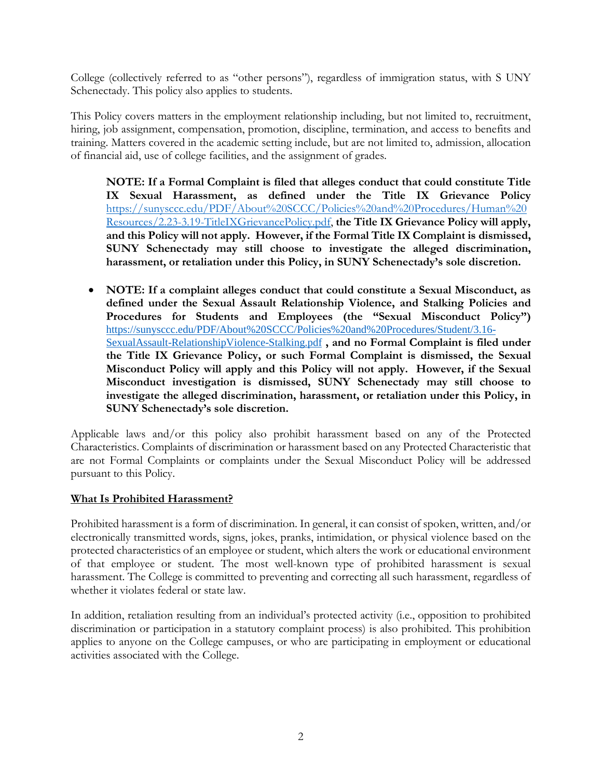College (collectively referred to as "other persons"), regardless of immigration status, with S UNY Schenectady. This policy also applies to students.

This Policy covers matters in the employment relationship including, but not limited to, recruitment, hiring, job assignment, compensation, promotion, discipline, termination, and access to benefits and training. Matters covered in the academic setting include, but are not limited to, admission, allocation of financial aid, use of college facilities, and the assignment of grades.

 **NOTE: If a Formal Complaint is filed that alleges conduct that could constitute Title IX Sexual Harassment, as defined under the Title IX Grievance Policy**  [https://sunysccc.edu/PDF/About%20SCCC/Policies%20and%20Procedures/Human%20](https://sunysccc.edu/PDF/About%20SCCC/Policies%20and%20Procedures/Human%20Resources/2.23-3.19-TitleIXGrievancePolicy.pdf)  [Resources/2.23-3.19-TitleIXGrievancePolicy.pdf,](https://sunysccc.edu/PDF/About%20SCCC/Policies%20and%20Procedures/Human%20Resources/2.23-3.19-TitleIXGrievancePolicy.pdf) **the Title IX Grievance Policy will apply, and this Policy will not apply. However, if the Formal Title IX Complaint is dismissed, SUNY Schenectady may still choose to investigate the alleged discrimination, harassment, or retaliation under this Policy, in SUNY Schenectady's sole discretion.** 

 • **NOTE: If a complaint alleges conduct that could constitute a Sexual Misconduct, as Procedures for Students and Employees (the "Sexual Misconduct Policy") Misconduct investigation is dismissed, SUNY Schenectady may still choose to defined under the Sexual Assault Relationship Violence, and Stalking Policies and**  [https://sunysccc.edu/PDF/About%20SCCC/Policies%20and%20Procedures/Student/3.16-](https://sunysccc.edu/PDF/About%20SCCC/Policies%20and%20Procedures/Student/3.16-SexualAssault-RelationshipViolence-Stalking.pdf) [SexualAssault-RelationshipViolence-Stalking.pdf](https://sunysccc.edu/PDF/About%20SCCC/Policies%20and%20Procedures/Student/3.16-SexualAssault-RelationshipViolence-Stalking.pdf) **, and no Formal Complaint is filed under the Title IX Grievance Policy, or such Formal Complaint is dismissed, the Sexual Misconduct Policy will apply and this Policy will not apply. However, if the Sexual investigate the alleged discrimination, harassment, or retaliation under this Policy, in SUNY Schenectady's sole discretion.** 

 Applicable laws and/or this policy also prohibit harassment based on any of the Protected Characteristics. Complaints of discrimination or harassment based on any Protected Characteristic that are not Formal Complaints or complaints under the Sexual Misconduct Policy will be addressed pursuant to this Policy.

# **What Is Prohibited Harassment?**

 of that employee or student. The most well-known type of prohibited harassment is sexual Prohibited harassment is a form of discrimination. In general, it can consist of spoken, written, and/or electronically transmitted words, signs, jokes, pranks, intimidation, or physical violence based on the protected characteristics of an employee or student, which alters the work or educational environment harassment. The College is committed to preventing and correcting all such harassment, regardless of whether it violates federal or state law.

In addition, retaliation resulting from an individual's protected activity (i.e., opposition to prohibited discrimination or participation in a statutory complaint process) is also prohibited. This prohibition applies to anyone on the College campuses, or who are participating in employment or educational activities associated with the College.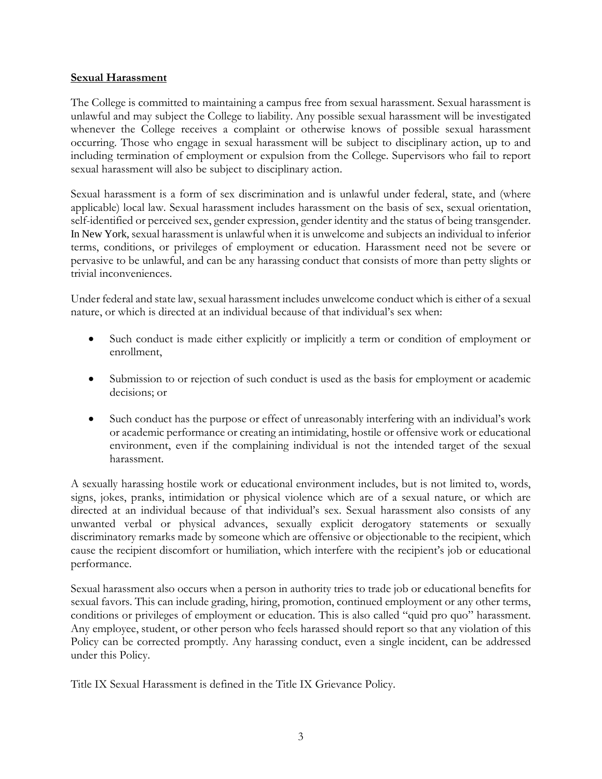#### **Sexual Harassment**

The College is committed to maintaining a campus free from sexual harassment. Sexual harassment is unlawful and may subject the College to liability. Any possible sexual harassment will be investigated whenever the College receives a complaint or otherwise knows of possible sexual harassment occurring. Those who engage in sexual harassment will be subject to disciplinary action, up to and including termination of employment or expulsion from the College. Supervisors who fail to report sexual harassment will also be subject to disciplinary action.

Sexual harassment is a form of sex discrimination and is unlawful under federal, state, and (where applicable) local law. Sexual harassment includes harassment on the basis of sex, sexual orientation, self-identified or perceived sex, gender expression, gender identity and the status of being transgender. In New York, sexual harassment is unlawful when it is unwelcome and subjects an individual to inferior terms, conditions, or privileges of employment or education. Harassment need not be severe or pervasive to be unlawful, and can be any harassing conduct that consists of more than petty slights or trivial inconveniences.

Under federal and state law, sexual harassment includes unwelcome conduct which is either of a sexual nature, or which is directed at an individual because of that individual's sex when:

- Such conduct is made either explicitly or implicitly a term or condition of employment or enrollment,
- Submission to or rejection of such conduct is used as the basis for employment or academic decisions; or
- Such conduct has the purpose or effect of unreasonably interfering with an individual's work or academic performance or creating an intimidating, hostile or offensive work or educational environment, even if the complaining individual is not the intended target of the sexual harassment.

 discriminatory remarks made by someone which are offensive or objectionable to the recipient, which A sexually harassing hostile work or educational environment includes, but is not limited to, words, signs, jokes, pranks, intimidation or physical violence which are of a sexual nature, or which are directed at an individual because of that individual's sex. Sexual harassment also consists of any unwanted verbal or physical advances, sexually explicit derogatory statements or sexually cause the recipient discomfort or humiliation, which interfere with the recipient's job or educational performance.

 Policy can be corrected promptly. Any harassing conduct, even a single incident, can be addressed under this Policy. Sexual harassment also occurs when a person in authority tries to trade job or educational benefits for sexual favors. This can include grading, hiring, promotion, continued employment or any other terms, conditions or privileges of employment or education. This is also called "quid pro quo" harassment. Any employee, student, or other person who feels harassed should report so that any violation of this

Title IX Sexual Harassment is defined in the Title IX Grievance Policy. 3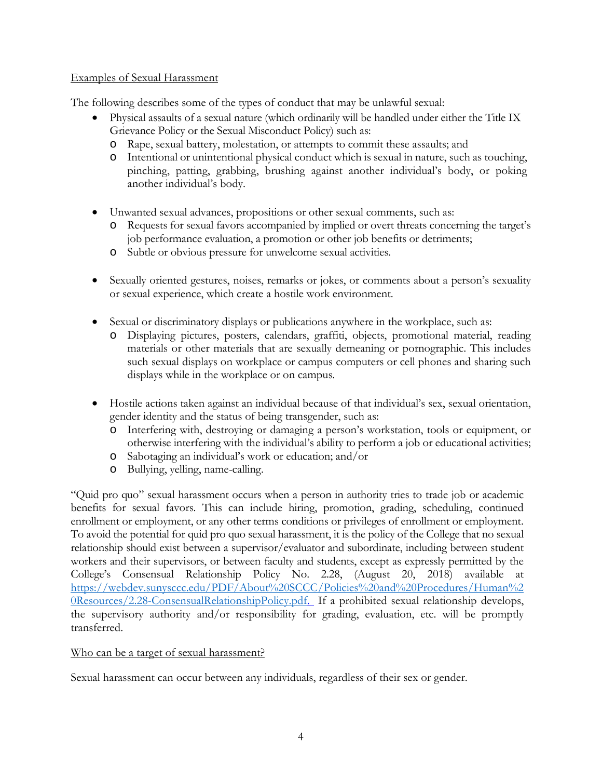# Examples of Sexual Harassment

The following describes some of the types of conduct that may be unlawful sexual:

- Physical assaults of a sexual nature (which ordinarily will be handled under either the Title IX Grievance Policy or the Sexual Misconduct Policy) such as:
	- o Rape, sexual battery, molestation, or attempts to commit these assaults; and
	- o Intentional or unintentional physical conduct which is sexual in nature, such as touching, pinching, patting, grabbing, brushing against another individual's body, or poking another individual's body.
- • Unwanted sexual advances, propositions or other sexual comments, such as:
	- o Requests for sexual favors accompanied by implied or overt threats concerning the target's job performance evaluation, a promotion or other job benefits or detriments;
	- o Subtle or obvious pressure for unwelcome sexual activities.
- • Sexually oriented gestures, noises, remarks or jokes, or comments about a person's sexuality or sexual experience, which create a hostile work environment.
- • Sexual or discriminatory displays or publications anywhere in the workplace, such as:
	- materials or other materials that are sexually demeaning or pornographic. This includes such sexual displays on workplace or campus computers or cell phones and sharing such o Displaying pictures, posters, calendars, graffiti, objects, promotional material, reading displays while in the workplace or on campus.
- • Hostile actions taken against an individual because of that individual's sex, sexual orientation, gender identity and the status of being transgender, such as:
	- otherwise interfering with the individual's ability to perform a job or educational activities; o Interfering with, destroying or damaging a person's workstation, tools or equipment, or
	- o Sabotaging an individual's work or education; and/or
	- o Bullying, yelling, name-calling.

 "Quid pro quo" sexual harassment occurs when a person in authority tries to trade job or academic College's Consensual Relationship Policy No. 2.28, (August 20, 2018) available at the supervisory authority and/or responsibility for grading, evaluation, etc. will be promptly benefits for sexual favors. This can include hiring, promotion, grading, scheduling, continued enrollment or employment, or any other terms conditions or privileges of enrollment or employment. To avoid the potential for quid pro quo sexual harassment, it is the policy of the College that no sexual relationship should exist between a supervisor/evaluator and subordinate, including between student workers and their supervisors, or between faculty and students, except as expressly permitted by the [https://webdev.sunysccc.edu/PDF/About%20SCCC/Policies%20and%20Procedures/Human%2](https://webdev.sunysccc.edu/PDF/About%20SCCC/Policies%20and%20Procedures/Human%20Resources/2.28-ConsensualRelationshipPolicy.pdf)  [0Resources/2.28-ConsensualRelationshipPolicy.pdf.](https://webdev.sunysccc.edu/PDF/About%20SCCC/Policies%20and%20Procedures/Human%20Resources/2.28-ConsensualRelationshipPolicy.pdf) If a prohibited sexual relationship develops, transferred.

# Who can be a target of sexual harassment?

Sexual harassment can occur between any individuals, regardless of their sex or gender.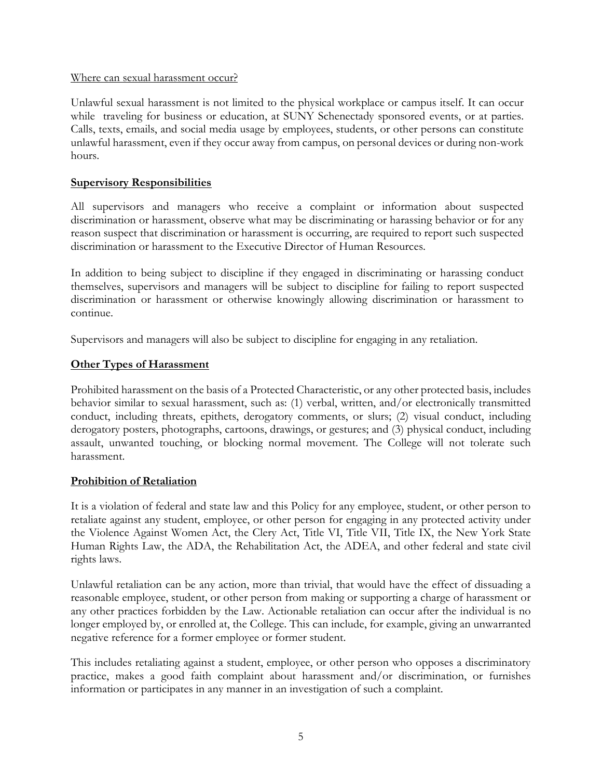#### Where can sexual harassment occur?

 while traveling for business or education, at SUNY Schenectady sponsored events, or at parties. Unlawful sexual harassment is not limited to the physical workplace or campus itself. It can occur Calls, texts, emails, and social media usage by employees, students, or other persons can constitute unlawful harassment, even if they occur away from campus, on personal devices or during non-work hours.

#### **Supervisory Responsibilities**

All supervisors and managers who receive a complaint or information about suspected discrimination or harassment, observe what may be discriminating or harassing behavior or for any reason suspect that discrimination or harassment is occurring, are required to report such suspected discrimination or harassment to the Executive Director of Human Resources.

In addition to being subject to discipline if they engaged in discriminating or harassing conduct themselves, supervisors and managers will be subject to discipline for failing to report suspected discrimination or harassment or otherwise knowingly allowing discrimination or harassment to continue.

Supervisors and managers will also be subject to discipline for engaging in any retaliation.

#### **Other Types of Harassment**

Prohibited harassment on the basis of a Protected Characteristic, or any other protected basis, includes behavior similar to sexual harassment, such as: (1) verbal, written, and/or electronically transmitted conduct, including threats, epithets, derogatory comments, or slurs; (2) visual conduct, including derogatory posters, photographs, cartoons, drawings, or gestures; and (3) physical conduct, including assault, unwanted touching, or blocking normal movement. The College will not tolerate such harassment.

# **Prohibition of Retaliation**

It is a violation of federal and state law and this Policy for any employee, student, or other person to retaliate against any student, employee, or other person for engaging in any protected activity under the Violence Against Women Act, the Clery Act, Title VI, Title VII, Title IX, the New York State Human Rights Law, the ADA, the Rehabilitation Act, the ADEA, and other federal and state civil rights laws.

 reasonable employee, student, or other person from making or supporting a charge of harassment or Unlawful retaliation can be any action, more than trivial, that would have the effect of dissuading a any other practices forbidden by the Law. Actionable retaliation can occur after the individual is no longer employed by, or enrolled at, the College. This can include, for example, giving an unwarranted negative reference for a former employee or former student.

This includes retaliating against a student, employee, or other person who opposes a discriminatory practice, makes a good faith complaint about harassment and/or discrimination, or furnishes information or participates in any manner in an investigation of such a complaint.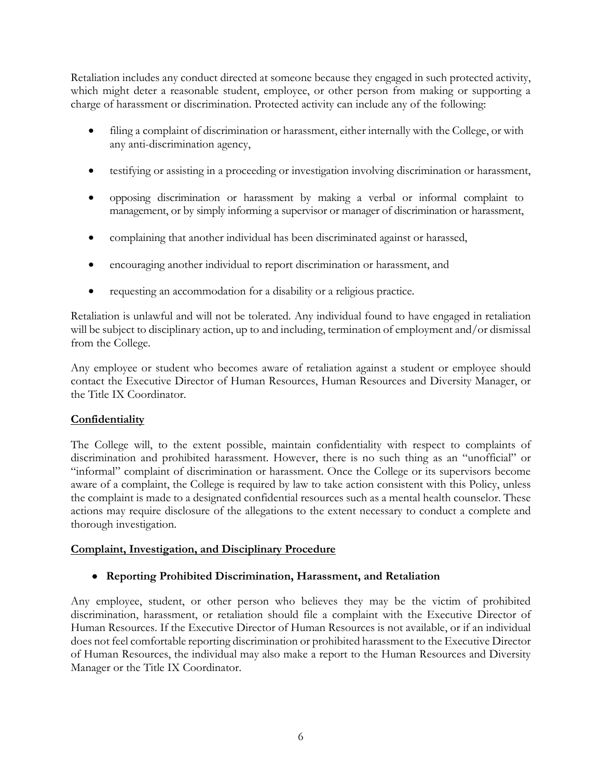Retaliation includes any conduct directed at someone because they engaged in such protected activity, which might deter a reasonable student, employee, or other person from making or supporting a charge of harassment or discrimination. Protected activity can include any of the following:

- filing a complaint of discrimination or harassment, either internally with the College, or with any anti-discrimination agency,
- testifying or assisting in a proceeding or investigation involving discrimination or harassment,
- • opposing discrimination or harassment by making a verbal or informal complaint to management, or by simply informing a supervisor or manager of discrimination or harassment,
- complaining that another individual has been discriminated against or harassed,
- encouraging another individual to report discrimination or harassment, and
- requesting an accommodation for a disability or a religious practice.

Retaliation is unlawful and will not be tolerated. Any individual found to have engaged in retaliation will be subject to disciplinary action, up to and including, termination of employment and/or dismissal from the College.

Any employee or student who becomes aware of retaliation against a student or employee should contact the Executive Director of Human Resources, Human Resources and Diversity Manager, or the Title IX Coordinator.

# **Confidentiality**

 "informal" complaint of discrimination or harassment. Once the College or its supervisors become actions may require disclosure of the allegations to the extent necessary to conduct a complete and The College will, to the extent possible, maintain confidentiality with respect to complaints of discrimination and prohibited harassment. However, there is no such thing as an "unofficial" or aware of a complaint, the College is required by law to take action consistent with this Policy, unless the complaint is made to a designated confidential resources such as a mental health counselor. These thorough investigation.

# **Complaint, Investigation, and Disciplinary Procedure**

# • **Reporting Prohibited Discrimination, Harassment, and Retaliation**

Any employee, student, or other person who believes they may be the victim of prohibited discrimination, harassment, or retaliation should file a complaint with the Executive Director of Human Resources. If the Executive Director of Human Resources is not available, or if an individual does not feel comfortable reporting discrimination or prohibited harassment to the Executive Director of Human Resources, the individual may also make a report to the Human Resources and Diversity Manager or the Title IX Coordinator.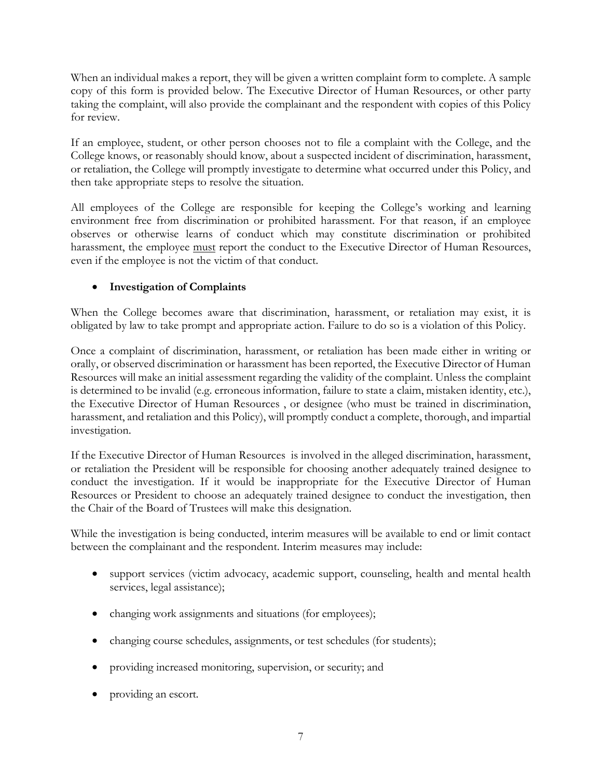taking the complaint, will also provide the complainant and the respondent with copies of this Policy When an individual makes a report, they will be given a written complaint form to complete. A sample copy of this form is provided below. The Executive Director of Human Resources, or other party for review.

 If an employee, student, or other person chooses not to file a complaint with the College, and the College knows, or reasonably should know, about a suspected incident of discrimination, harassment, or retaliation, the College will promptly investigate to determine what occurred under this Policy, and then take appropriate steps to resolve the situation.

harassment, the employee <u>must</u> report the conduct to the Executive Director of Human Resources, All employees of the College are responsible for keeping the College's working and learning environment free from discrimination or prohibited harassment. For that reason, if an employee observes or otherwise learns of conduct which may constitute discrimination or prohibited even if the employee is not the victim of that conduct.

# • **Investigation of Complaints**

When the College becomes aware that discrimination, harassment, or retaliation may exist, it is obligated by law to take prompt and appropriate action. Failure to do so is a violation of this Policy.

Once a complaint of discrimination, harassment, or retaliation has been made either in writing or orally, or observed discrimination or harassment has been reported, the Executive Director of Human Resources will make an initial assessment regarding the validity of the complaint. Unless the complaint is determined to be invalid (e.g. erroneous information, failure to state a claim, mistaken identity, etc.), the Executive Director of Human Resources , or designee (who must be trained in discrimination, harassment, and retaliation and this Policy), will promptly conduct a complete, thorough, and impartial investigation.

If the Executive Director of Human Resources is involved in the alleged discrimination, harassment, or retaliation the President will be responsible for choosing another adequately trained designee to conduct the investigation. If it would be inappropriate for the Executive Director of Human Resources or President to choose an adequately trained designee to conduct the investigation, then the Chair of the Board of Trustees will make this designation.

 between the complainant and the respondent. Interim measures may include: While the investigation is being conducted, interim measures will be available to end or limit contact

- support services (victim advocacy, academic support, counseling, health and mental health services, legal assistance);
- changing work assignments and situations (for employees);
- changing course schedules, assignments, or test schedules (for students);
- providing increased monitoring, supervision, or security; and
- providing an escort.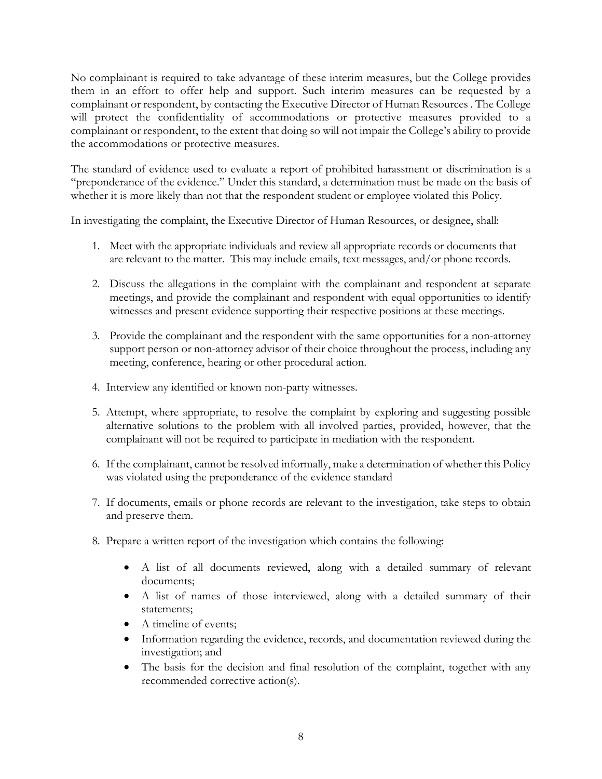No complainant is required to take advantage of these interim measures, but the College provides them in an effort to offer help and support. Such interim measures can be requested by a complainant or respondent, by contacting the Executive Director of Human Resources . The College will protect the confidentiality of accommodations or protective measures provided to a complainant or respondent, to the extent that doing so will not impair the College's ability to provide the accommodations or protective measures.

The standard of evidence used to evaluate a report of prohibited harassment or discrimination is a "preponderance of the evidence." Under this standard, a determination must be made on the basis of whether it is more likely than not that the respondent student or employee violated this Policy.

In investigating the complaint, the Executive Director of Human Resources, or designee, shall:

- 1. Meet with the appropriate individuals and review all appropriate records or documents that are relevant to the matter. This may include emails, text messages, and/or phone records.
- witnesses and present evidence supporting their respective positions at these meetings. 2. Discuss the allegations in the complaint with the complainant and respondent at separate meetings, and provide the complainant and respondent with equal opportunities to identify
- 3. Provide the complainant and the respondent with the same opportunities for a non-attorney support person or non-attorney advisor of their choice throughout the process, including any meeting, conference, hearing or other procedural action.
- 4. Interview any identified or known non-party witnesses.
- 5. Attempt, where appropriate, to resolve the complaint by exploring and suggesting possible alternative solutions to the problem with all involved parties, provided, however, that the complainant will not be required to participate in mediation with the respondent.
- 6. If the complainant, cannot be resolved informally, make a determination of whether this Policy was violated using the preponderance of the evidence standard
- 7. If documents, emails or phone records are relevant to the investigation, take steps to obtain and preserve them.
- 8. Prepare a written report of the investigation which contains the following:
	- A list of all documents reviewed, along with a detailed summary of relevant documents;
	- A list of names of those interviewed, along with a detailed summary of their statements;
	- A timeline of events;
	- Information regarding the evidence, records, and documentation reviewed during the investigation; and
	- • The basis for the decision and final resolution of the complaint, together with any recommended corrective action(s).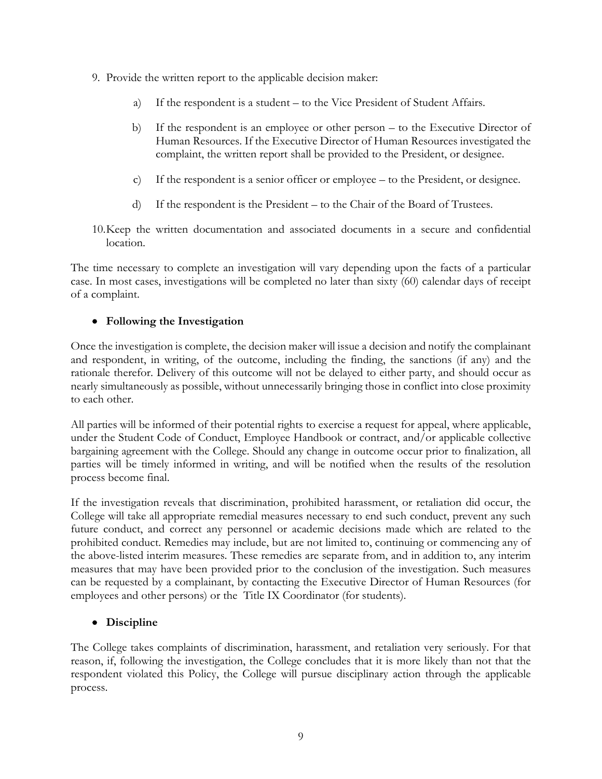- 9. Provide the written report to the applicable decision maker:
	- a) If the respondent is a student to the Vice President of Student Affairs.
	- b) If the respondent is an employee or other person to the Executive Director of Human Resources. If the Executive Director of Human Resources investigated the complaint, the written report shall be provided to the President, or designee.
	- c) If the respondent is a senior officer or employee to the President, or designee.
	- d) If the respondent is the President to the Chair of the Board of Trustees.
- 10.Keep the written documentation and associated documents in a secure and confidential location.

The time necessary to complete an investigation will vary depending upon the facts of a particular case. In most cases, investigations will be completed no later than sixty (60) calendar days of receipt of a complaint.

# • **Following the Investigation**

Once the investigation is complete, the decision maker will issue a decision and notify the complainant and respondent, in writing, of the outcome, including the finding, the sanctions (if any) and the rationale therefor. Delivery of this outcome will not be delayed to either party, and should occur as nearly simultaneously as possible, without unnecessarily bringing those in conflict into close proximity to each other.

All parties will be informed of their potential rights to exercise a request for appeal, where applicable, under the Student Code of Conduct, Employee Handbook or contract, and/or applicable collective bargaining agreement with the College. Should any change in outcome occur prior to finalization, all parties will be timely informed in writing, and will be notified when the results of the resolution process become final.

 the above-listed interim measures. These remedies are separate from, and in addition to, any interim If the investigation reveals that discrimination, prohibited harassment, or retaliation did occur, the College will take all appropriate remedial measures necessary to end such conduct, prevent any such future conduct, and correct any personnel or academic decisions made which are related to the prohibited conduct. Remedies may include, but are not limited to, continuing or commencing any of measures that may have been provided prior to the conclusion of the investigation. Such measures can be requested by a complainant, by contacting the Executive Director of Human Resources (for employees and other persons) or the Title IX Coordinator (for students).

# • **Discipline**

The College takes complaints of discrimination, harassment, and retaliation very seriously. For that reason, if, following the investigation, the College concludes that it is more likely than not that the respondent violated this Policy, the College will pursue disciplinary action through the applicable process.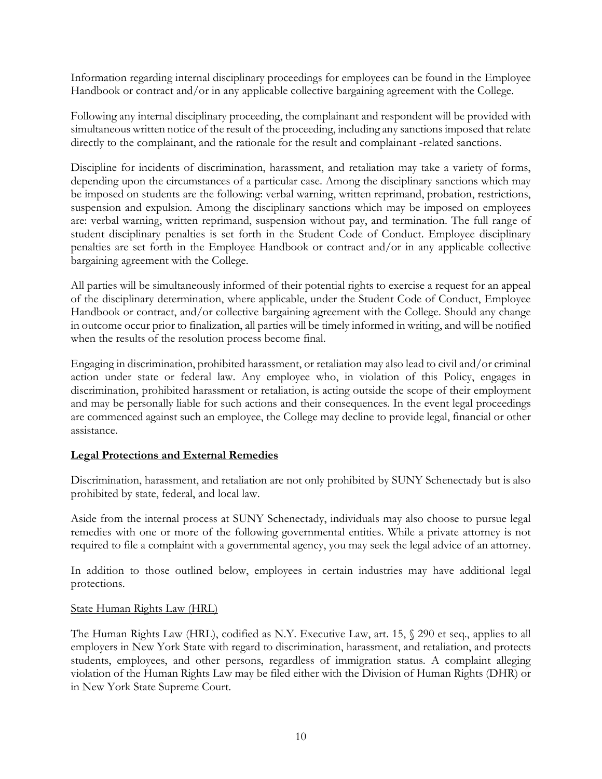Information regarding internal disciplinary proceedings for employees can be found in the Employee Handbook or contract and/or in any applicable collective bargaining agreement with the College.

 simultaneous written notice of the result of the proceeding, including any sanctions imposed that relate Following any internal disciplinary proceeding, the complainant and respondent will be provided with directly to the complainant, and the rationale for the result and complainant -related sanctions.

 are: verbal warning, written reprimand, suspension without pay, and termination. The full range of student disciplinary penalties is set forth in the Student Code of Conduct. Employee disciplinary Discipline for incidents of discrimination, harassment, and retaliation may take a variety of forms, depending upon the circumstances of a particular case. Among the disciplinary sanctions which may be imposed on students are the following: verbal warning, written reprimand, probation, restrictions, suspension and expulsion. Among the disciplinary sanctions which may be imposed on employees penalties are set forth in the Employee Handbook or contract and/or in any applicable collective bargaining agreement with the College.

 of the disciplinary determination, where applicable, under the Student Code of Conduct, Employee in outcome occur prior to finalization, all parties will be timely informed in writing, and will be notified All parties will be simultaneously informed of their potential rights to exercise a request for an appeal Handbook or contract, and/or collective bargaining agreement with the College. Should any change when the results of the resolution process become final.

 discrimination, prohibited harassment or retaliation, is acting outside the scope of their employment Engaging in discrimination, prohibited harassment, or retaliation may also lead to civil and/or criminal action under state or federal law. Any employee who, in violation of this Policy, engages in and may be personally liable for such actions and their consequences. In the event legal proceedings are commenced against such an employee, the College may decline to provide legal, financial or other assistance.

# **Legal Protections and External Remedies**

 Discrimination, harassment, and retaliation are not only prohibited by SUNY Schenectady but is also prohibited by state, federal, and local law.

Aside from the internal process at SUNY Schenectady, individuals may also choose to pursue legal remedies with one or more of the following governmental entities. While a private attorney is not required to file a complaint with a governmental agency, you may seek the legal advice of an attorney.

In addition to those outlined below, employees in certain industries may have additional legal protections.

# State Human Rights Law (HRL)

 employers in New York State with regard to discrimination, harassment, and retaliation, and protects The Human Rights Law (HRL), codified as N.Y. Executive Law, art. 15, § 290 et seq., applies to all students, employees, and other persons, regardless of immigration status. A complaint alleging violation of the Human Rights Law may be filed either with the Division of Human Rights (DHR) or in New York State Supreme Court.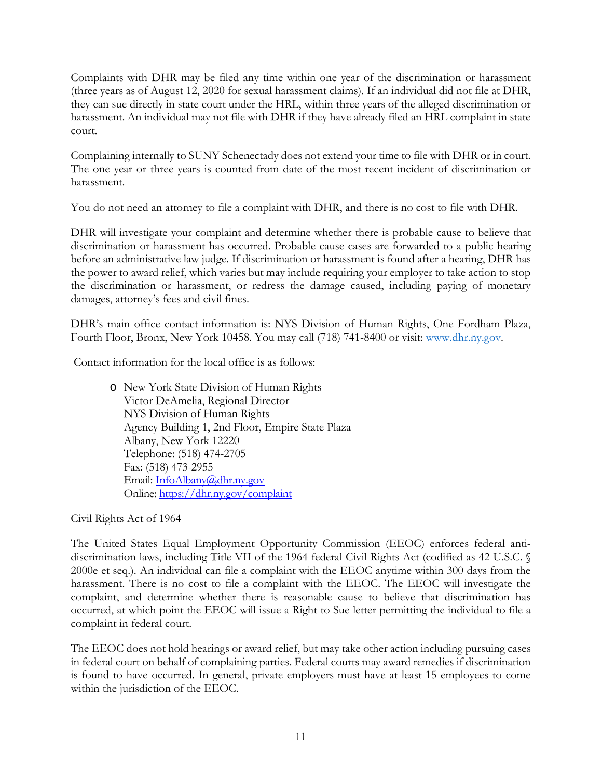they can sue directly in state court under the HRL, within three years of the alleged discrimination or harassment. An individual may not file with DHR if they have already filed an HRL complaint in state Complaints with DHR may be filed any time within one year of the discrimination or harassment (three years as of August 12, 2020 for sexual harassment claims). If an individual did not file at DHR, court.

Complaining internally to SUNY Schenectady does not extend your time to file with DHR or in court. The one year or three years is counted from date of the most recent incident of discrimination or harassment.

You do not need an attorney to file a complaint with DHR, and there is no cost to file with DHR.

DHR will investigate your complaint and determine whether there is probable cause to believe that discrimination or harassment has occurred. Probable cause cases are forwarded to a public hearing before an administrative law judge. If discrimination or harassment is found after a hearing, DHR has the power to award relief, which varies but may include requiring your employer to take action to stop the discrimination or harassment, or redress the damage caused, including paying of monetary damages, attorney's fees and civil fines.

Fourth Floor, Bronx, New York 10458. You may call (718) 741-8400 or visit: [www.dhr.ny.gov.](http://www.dhr.ny.gov/) DHR's main office contact information is: NYS Division of Human Rights, One Fordham Plaza,

Contact information for the local office is as follows:

Email: InfoAlbany@dhr.ny.gov o New York State Division of Human Rights Victor DeAmelia, Regional Director NYS Division of Human Rights Agency Building 1, 2nd Floor, Empire State Plaza Albany, New York 12220 Telephone: (518) 474-2705 Fax: (518) 473-2955 Online: https://dhr.ny.gov/complaint

# Civil Rights Act of 1964

 harassment. There is no cost to file a complaint with the EEOC. The EEOC will investigate the occurred, at which point the EEOC will issue a Right to Sue letter permitting the individual to file a complaint in federal court. The United States Equal Employment Opportunity Commission (EEOC) enforces federal antidiscrimination laws, including Title VII of the 1964 federal Civil Rights Act (codified as 42 U.S.C. § 2000e et seq.). An individual can file a complaint with the EEOC anytime within 300 days from the complaint, and determine whether there is reasonable cause to believe that discrimination has

The EEOC does not hold hearings or award relief, but may take other action including pursuing cases in federal court on behalf of complaining parties. Federal courts may award remedies if discrimination is found to have occurred. In general, private employers must have at least 15 employees to come within the jurisdiction of the EEOC.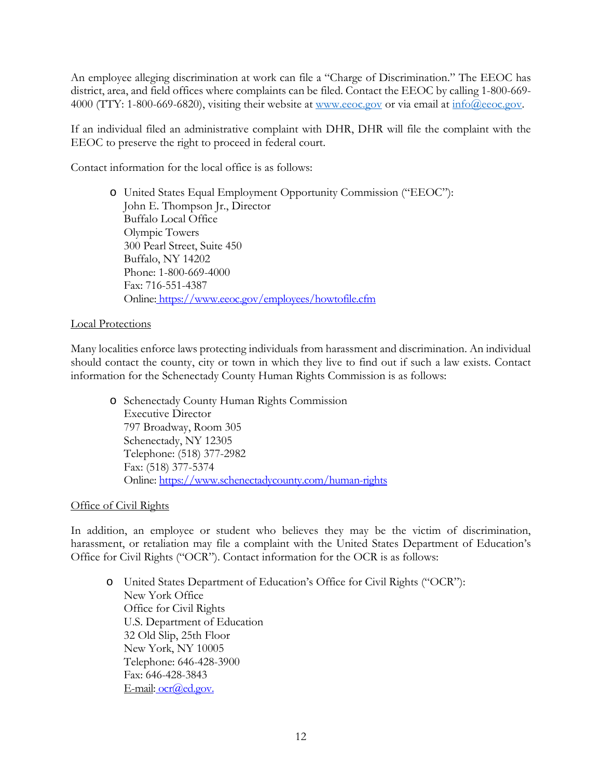district, area, and field offices where complaints can be filed. Contact the EEOC by calling 1-800-669 4000 (TTY: 1-800-669-6820), visiting their website at [www.eeoc.gov](http://www.eeoc.gov/) or via email at [info@eeoc.gov.](mailto:info@eeoc.gov) An employee alleging discrimination at work can file a "Charge of Discrimination." The EEOC has

If an individual filed an administrative complaint with DHR, DHR will file the complaint with the EEOC to preserve the right to proceed in federal court.

Contact information for the local office is as follows:

o United States Equal Employment Opportunity Commission ("EEOC"): John E. Thompson Jr., Director Buffalo Local Office Olympic Towers 300 Pearl Street, Suite 450 Buffalo, NY 14202 Phone: 1-800-669-4000 Fax: 716-551-4387 Online[: https://www.eeoc.gov/employees/howtofile.cfm](https://www.eeoc.gov/employees/howtofile.cfm) 

# Local Protections

 should contact the county, city or town in which they live to find out if such a law exists. Contact Many localities enforce laws protecting individuals from harassment and discrimination. An individual information for the Schenectady County Human Rights Commission is as follows:

 o Schenectady County Human Rights Commission Online: https://www.schenectadycounty.com/human-rights<br>Office of Civil Rights Executive Director 797 Broadway, Room 305 Schenectady, NY 12305 Telephone: (518) 377-2982 Fax: (518) 377-5374

In addition, an employee or student who believes they may be the victim of discrimination, harassment, or retaliation may file a complaint with the United States Department of Education's Office for Civil Rights ("OCR"). Contact information for the OCR is as follows:

o United States Department of Education's Office for Civil Rights ("OCR"): New York Office Office for Civil Rights U.S. Department of Education 32 Old Slip, 25th Floor New York, NY 10005 Telephone: 646-428-3900 Fax: 646-428-3843 E-mai[l: ocr@ed.gov.](mailto:ocr@ed.gov)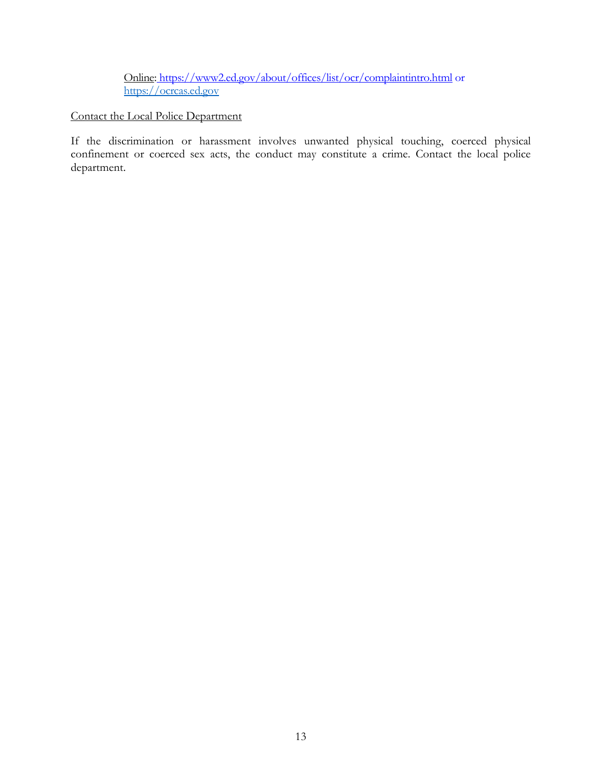Onlin[e: https://www2.ed.gov/about/offices/list/ocr/complaintintro.html](https://www2.ed.gov/about/offices/list/ocr/complaintintro.html) or [https://ocrcas.ed.gov](https://ocrcas.ed.gov/) 

# Contact the Local Police Department

 confinement or coerced sex acts, the conduct may constitute a crime. Contact the local police If the discrimination or harassment involves unwanted physical touching, coerced physical department.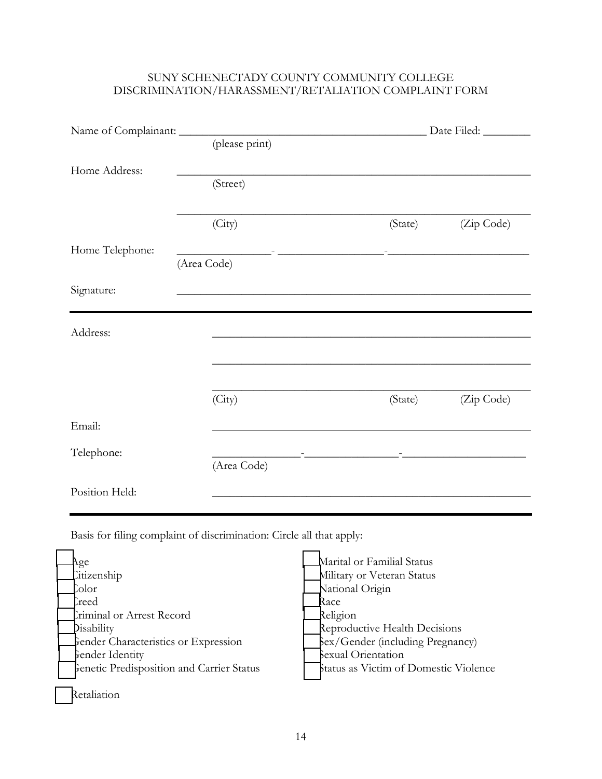# DISCRIMINATION/HARASSMENT/RETALIATION COMPLAINT FORM SUNY SCHENECTADY COUNTY COMMUNITY COLLEGE

| Home Address:   |                                                                 |         |                                                                 |  |
|-----------------|-----------------------------------------------------------------|---------|-----------------------------------------------------------------|--|
|                 | (Street)                                                        |         |                                                                 |  |
|                 |                                                                 |         |                                                                 |  |
|                 | (City)                                                          | (State) | (Zip Code)                                                      |  |
| Home Telephone: | <u> 1989 - Andrea Stadt, fransk fotballski politik (* 1908)</u> |         | The contract of the contract of the contract of the contract of |  |
|                 | (Area Code)                                                     |         |                                                                 |  |
| Signature:      |                                                                 |         |                                                                 |  |
|                 |                                                                 |         |                                                                 |  |
| Address:        |                                                                 |         |                                                                 |  |
|                 |                                                                 |         |                                                                 |  |
|                 |                                                                 |         |                                                                 |  |
|                 | (City)                                                          | (State) | (Zip Code)                                                      |  |
| Email:          |                                                                 |         |                                                                 |  |
| Telephone:      |                                                                 |         |                                                                 |  |
|                 | (Area Code)                                                     |         |                                                                 |  |
| Position Held:  |                                                                 |         |                                                                 |  |

Basis for filing complaint of discrimination: Circle all that apply:

| ge                                               | Marital or Familial Status            |
|--------------------------------------------------|---------------------------------------|
| Citizenship                                      | Military or Veteran Status            |
| Color                                            | National Origin                       |
| Creed                                            | Race                                  |
| Criminal or Arrest Record                        | Religion                              |
| <b>Disability</b>                                | Reproductive Health Decisions         |
| Gender Characteristics or Expression             | Sex/Gender (including Pregnancy)      |
| Fender Identity                                  | Sexual Orientation                    |
| <b>Genetic Predisposition and Carrier Status</b> | Status as Victim of Domestic Violence |
|                                                  |                                       |
| etaliation                                       |                                       |
|                                                  |                                       |